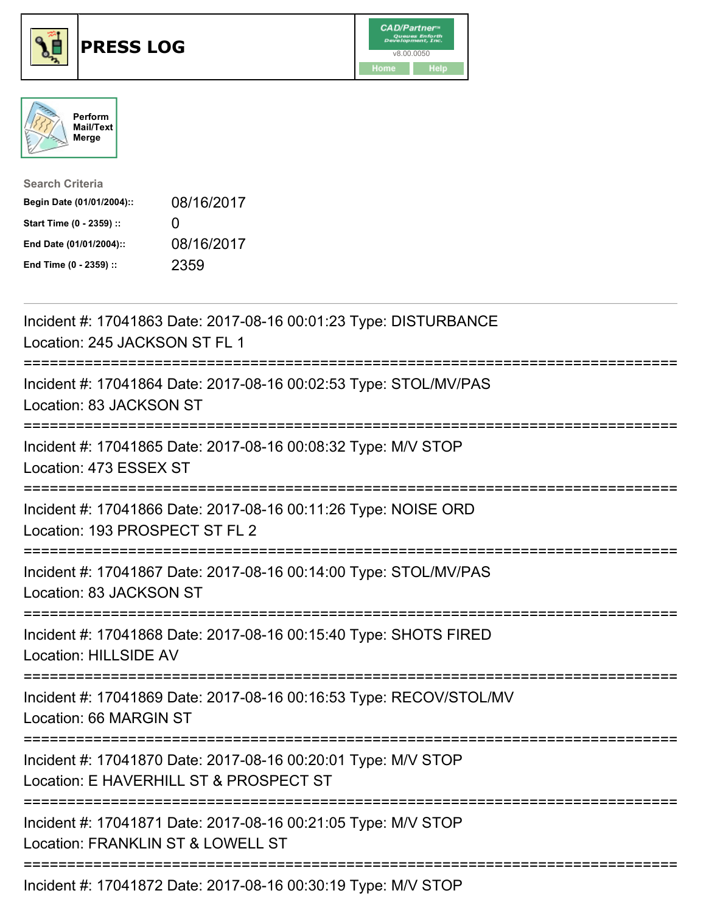





| <b>Search Criteria</b>    |              |
|---------------------------|--------------|
| Begin Date (01/01/2004):: | 08/16/2017   |
| Start Time (0 - 2359) ::  | $\mathbf{U}$ |
| End Date (01/01/2004)::   | 08/16/2017   |
| End Time (0 - 2359) ::    | 2359         |

| Incident #: 17041863 Date: 2017-08-16 00:01:23 Type: DISTURBANCE<br>Location: 245 JACKSON ST FL 1                                     |
|---------------------------------------------------------------------------------------------------------------------------------------|
| Incident #: 17041864 Date: 2017-08-16 00:02:53 Type: STOL/MV/PAS<br>Location: 83 JACKSON ST                                           |
| Incident #: 17041865 Date: 2017-08-16 00:08:32 Type: M/V STOP<br>Location: 473 ESSEX ST                                               |
| Incident #: 17041866 Date: 2017-08-16 00:11:26 Type: NOISE ORD<br>Location: 193 PROSPECT ST FL 2                                      |
| Incident #: 17041867 Date: 2017-08-16 00:14:00 Type: STOL/MV/PAS<br>Location: 83 JACKSON ST<br>----------------------                 |
| Incident #: 17041868 Date: 2017-08-16 00:15:40 Type: SHOTS FIRED<br><b>Location: HILLSIDE AV</b>                                      |
| Incident #: 17041869 Date: 2017-08-16 00:16:53 Type: RECOV/STOL/MV<br>Location: 66 MARGIN ST<br>===================================== |
| Incident #: 17041870 Date: 2017-08-16 00:20:01 Type: M/V STOP<br>Location: E HAVERHILL ST & PROSPECT ST                               |
| Incident #: 17041871 Date: 2017-08-16 00:21:05 Type: M/V STOP<br>Location: FRANKLIN ST & LOWELL ST                                    |
| -------------------------<br>Incident #: 17041872 Date: 2017-08-16 00:30:19 Type: M/V STOP                                            |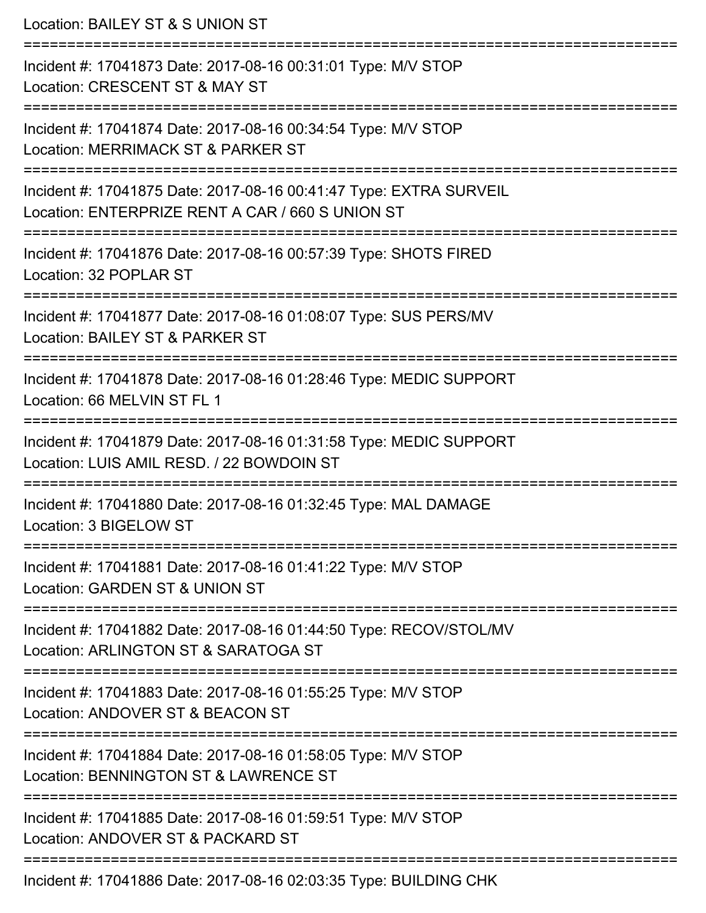Location: BAILEY ST & S UNION ST =========================================================================== Incident #: 17041873 Date: 2017-08-16 00:31:01 Type: M/V STOP Location: CRESCENT ST & MAY ST =========================================================================== Incident #: 17041874 Date: 2017-08-16 00:34:54 Type: M/V STOP Location: MERRIMACK ST & PARKER ST =========================================================================== Incident #: 17041875 Date: 2017-08-16 00:41:47 Type: EXTRA SURVEIL Location: ENTERPRIZE RENT A CAR / 660 S UNION ST =========================================================================== Incident #: 17041876 Date: 2017-08-16 00:57:39 Type: SHOTS FIRED Location: 32 POPLAR ST =========================================================================== Incident #: 17041877 Date: 2017-08-16 01:08:07 Type: SUS PERS/MV Location: BAILEY ST & PARKER ST =========================================================================== Incident #: 17041878 Date: 2017-08-16 01:28:46 Type: MEDIC SUPPORT Location: 66 MELVIN ST FL 1 =========================================================================== Incident #: 17041879 Date: 2017-08-16 01:31:58 Type: MEDIC SUPPORT Location: LUIS AMIL RESD. / 22 BOWDOIN ST =========================================================================== Incident #: 17041880 Date: 2017-08-16 01:32:45 Type: MAL DAMAGE Location: 3 BIGELOW ST =========================================================================== Incident #: 17041881 Date: 2017-08-16 01:41:22 Type: M/V STOP Location: GARDEN ST & UNION ST =========================================================================== Incident #: 17041882 Date: 2017-08-16 01:44:50 Type: RECOV/STOL/MV Location: ARLINGTON ST & SARATOGA ST =========================================================================== Incident #: 17041883 Date: 2017-08-16 01:55:25 Type: M/V STOP Location: ANDOVER ST & BEACON ST =========================================================================== Incident #: 17041884 Date: 2017-08-16 01:58:05 Type: M/V STOP Location: BENNINGTON ST & LAWRENCE ST =========================================================================== Incident #: 17041885 Date: 2017-08-16 01:59:51 Type: M/V STOP Location: ANDOVER ST & PACKARD ST =========================================================================== Incident #: 17041886 Date: 2017-08-16 02:03:35 Type: BUILDING CHK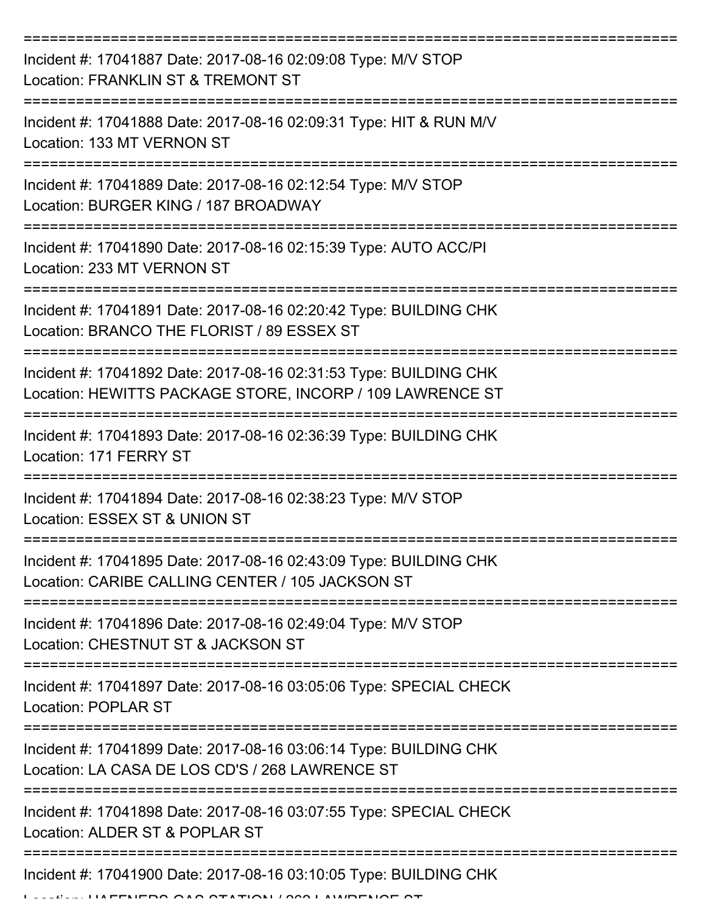| Incident #: 17041887 Date: 2017-08-16 02:09:08 Type: M/V STOP<br>Location: FRANKLIN ST & TREMONT ST                            |
|--------------------------------------------------------------------------------------------------------------------------------|
| Incident #: 17041888 Date: 2017-08-16 02:09:31 Type: HIT & RUN M/V<br>Location: 133 MT VERNON ST                               |
| Incident #: 17041889 Date: 2017-08-16 02:12:54 Type: M/V STOP<br>Location: BURGER KING / 187 BROADWAY                          |
| Incident #: 17041890 Date: 2017-08-16 02:15:39 Type: AUTO ACC/PI<br>Location: 233 MT VERNON ST                                 |
| Incident #: 17041891 Date: 2017-08-16 02:20:42 Type: BUILDING CHK<br>Location: BRANCO THE FLORIST / 89 ESSEX ST                |
| Incident #: 17041892 Date: 2017-08-16 02:31:53 Type: BUILDING CHK<br>Location: HEWITTS PACKAGE STORE, INCORP / 109 LAWRENCE ST |
| Incident #: 17041893 Date: 2017-08-16 02:36:39 Type: BUILDING CHK<br>Location: 171 FERRY ST                                    |
| Incident #: 17041894 Date: 2017-08-16 02:38:23 Type: M/V STOP<br>Location: ESSEX ST & UNION ST                                 |
| Incident #: 17041895 Date: 2017-08-16 02:43:09 Type: BUILDING CHK<br>Location: CARIBE CALLING CENTER / 105 JACKSON ST          |
| Incident #: 17041896 Date: 2017-08-16 02:49:04 Type: M/V STOP<br>Location: CHESTNUT ST & JACKSON ST                            |
| Incident #: 17041897 Date: 2017-08-16 03:05:06 Type: SPECIAL CHECK<br><b>Location: POPLAR ST</b>                               |
| Incident #: 17041899 Date: 2017-08-16 03:06:14 Type: BUILDING CHK<br>Location: LA CASA DE LOS CD'S / 268 LAWRENCE ST           |
| Incident #: 17041898 Date: 2017-08-16 03:07:55 Type: SPECIAL CHECK<br>Location: ALDER ST & POPLAR ST                           |
| Incident #: 17041900 Date: 2017-08-16 03:10:05 Type: BUILDING CHK                                                              |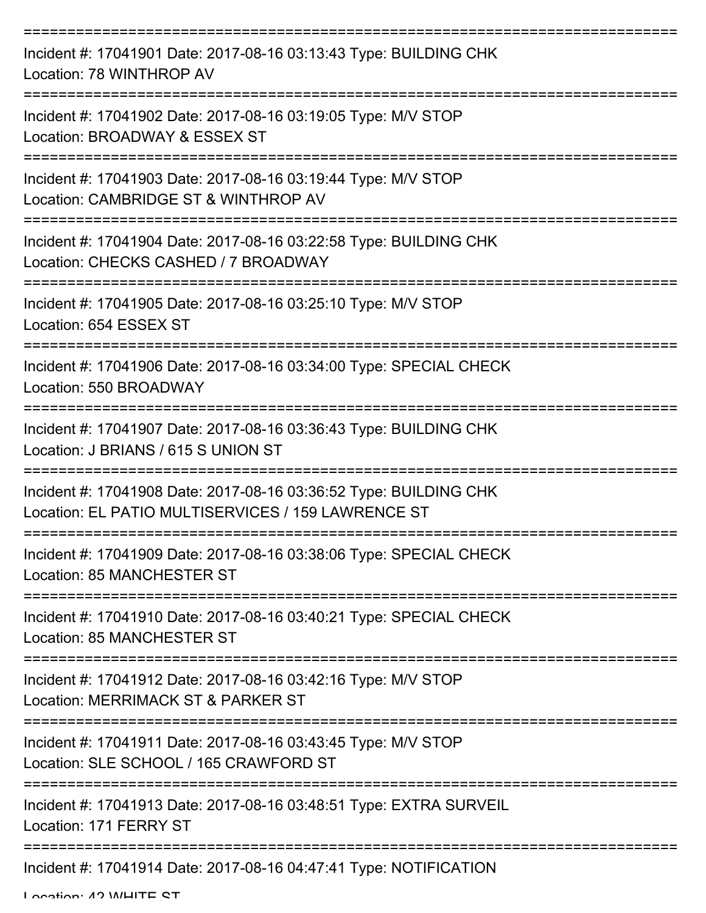| Incident #: 17041901 Date: 2017-08-16 03:13:43 Type: BUILDING CHK<br>Location: 78 WINTHROP AV                                         |
|---------------------------------------------------------------------------------------------------------------------------------------|
| Incident #: 17041902 Date: 2017-08-16 03:19:05 Type: M/V STOP<br>Location: BROADWAY & ESSEX ST                                        |
| Incident #: 17041903 Date: 2017-08-16 03:19:44 Type: M/V STOP<br>Location: CAMBRIDGE ST & WINTHROP AV                                 |
| Incident #: 17041904 Date: 2017-08-16 03:22:58 Type: BUILDING CHK<br>Location: CHECKS CASHED / 7 BROADWAY                             |
| Incident #: 17041905 Date: 2017-08-16 03:25:10 Type: M/V STOP<br>Location: 654 ESSEX ST                                               |
| =====================================<br>Incident #: 17041906 Date: 2017-08-16 03:34:00 Type: SPECIAL CHECK<br>Location: 550 BROADWAY |
| Incident #: 17041907 Date: 2017-08-16 03:36:43 Type: BUILDING CHK<br>Location: J BRIANS / 615 S UNION ST                              |
| Incident #: 17041908 Date: 2017-08-16 03:36:52 Type: BUILDING CHK<br>Location: EL PATIO MULTISERVICES / 159 LAWRENCE ST               |
| Incident #: 17041909 Date: 2017-08-16 03:38:06 Type: SPECIAL CHECK<br><b>Location: 85 MANCHESTER ST</b>                               |
| Incident #: 17041910 Date: 2017-08-16 03:40:21 Type: SPECIAL CHECK<br><b>Location: 85 MANCHESTER ST</b>                               |
| Incident #: 17041912 Date: 2017-08-16 03:42:16 Type: M/V STOP<br>Location: MERRIMACK ST & PARKER ST                                   |
| Incident #: 17041911 Date: 2017-08-16 03:43:45 Type: M/V STOP<br>Location: SLE SCHOOL / 165 CRAWFORD ST                               |
| Incident #: 17041913 Date: 2017-08-16 03:48:51 Type: EXTRA SURVEIL<br>Location: 171 FERRY ST                                          |
| Incident #: 17041914 Date: 2017-08-16 04:47:41 Type: NOTIFICATION                                                                     |

Location: 42 WHITE ST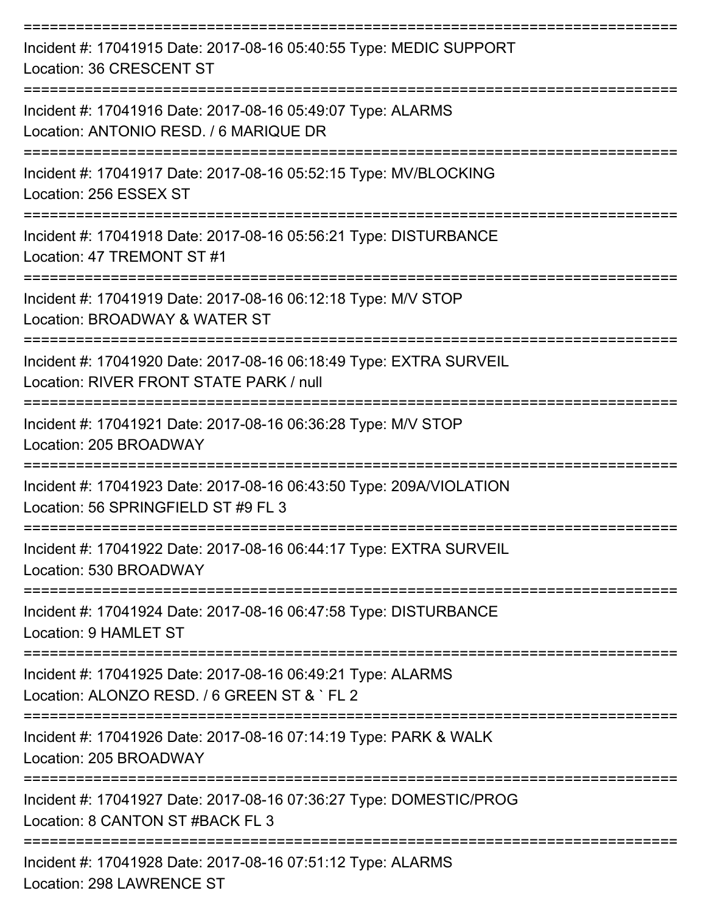| Incident #: 17041915 Date: 2017-08-16 05:40:55 Type: MEDIC SUPPORT<br>Location: 36 CRESCENT ST                |
|---------------------------------------------------------------------------------------------------------------|
| Incident #: 17041916 Date: 2017-08-16 05:49:07 Type: ALARMS<br>Location: ANTONIO RESD. / 6 MARIQUE DR         |
| Incident #: 17041917 Date: 2017-08-16 05:52:15 Type: MV/BLOCKING<br>Location: 256 ESSEX ST                    |
| Incident #: 17041918 Date: 2017-08-16 05:56:21 Type: DISTURBANCE<br>Location: 47 TREMONT ST #1                |
| Incident #: 17041919 Date: 2017-08-16 06:12:18 Type: M/V STOP<br>Location: BROADWAY & WATER ST                |
| Incident #: 17041920 Date: 2017-08-16 06:18:49 Type: EXTRA SURVEIL<br>Location: RIVER FRONT STATE PARK / null |
| Incident #: 17041921 Date: 2017-08-16 06:36:28 Type: M/V STOP<br>Location: 205 BROADWAY                       |
| Incident #: 17041923 Date: 2017-08-16 06:43:50 Type: 209A/VIOLATION<br>Location: 56 SPRINGFIELD ST #9 FL 3    |
| Incident #: 17041922 Date: 2017-08-16 06:44:17 Type: EXTRA SURVEIL<br>Location: 530 BROADWAY                  |
| Incident #: 17041924 Date: 2017-08-16 06:47:58 Type: DISTURBANCE<br>Location: 9 HAMLET ST                     |
| Incident #: 17041925 Date: 2017-08-16 06:49:21 Type: ALARMS<br>Location: ALONZO RESD, / 6 GREEN ST & `FL 2    |
| Incident #: 17041926 Date: 2017-08-16 07:14:19 Type: PARK & WALK<br>Location: 205 BROADWAY                    |
| Incident #: 17041927 Date: 2017-08-16 07:36:27 Type: DOMESTIC/PROG<br>Location: 8 CANTON ST #BACK FL 3        |
| Incident #: 17041928 Date: 2017-08-16 07:51:12 Type: ALARMS                                                   |

Location: 298 LAWRENCE ST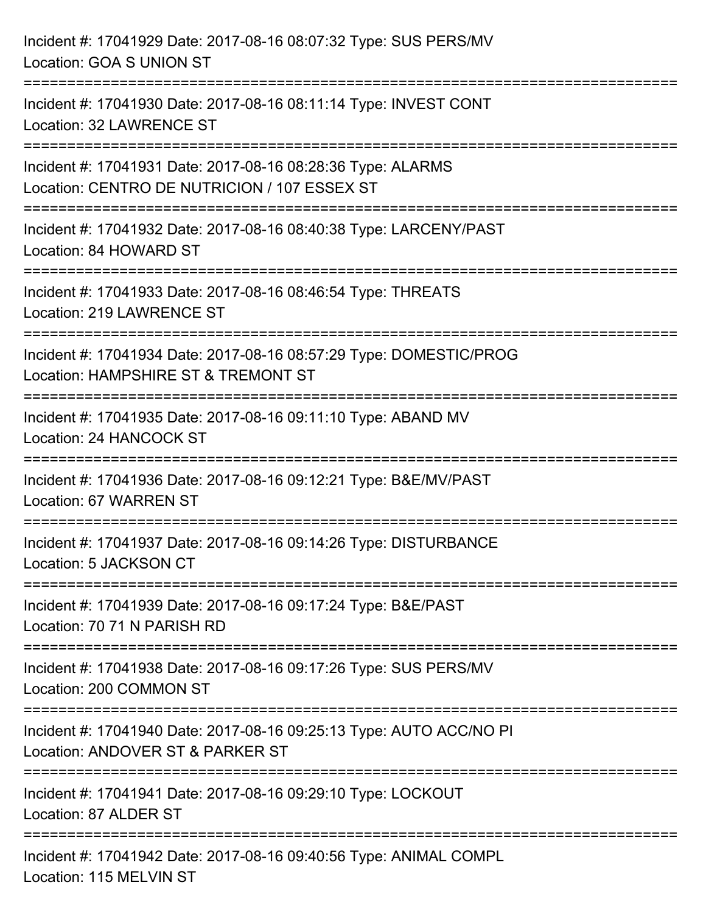| Incident #: 17041929 Date: 2017-08-16 08:07:32 Type: SUS PERS/MV<br>Location: GOA S UNION ST                                                   |
|------------------------------------------------------------------------------------------------------------------------------------------------|
| ===========================<br>Incident #: 17041930 Date: 2017-08-16 08:11:14 Type: INVEST CONT<br>Location: 32 LAWRENCE ST                    |
| Incident #: 17041931 Date: 2017-08-16 08:28:36 Type: ALARMS<br>Location: CENTRO DE NUTRICION / 107 ESSEX ST<br>=============================== |
| Incident #: 17041932 Date: 2017-08-16 08:40:38 Type: LARCENY/PAST<br>Location: 84 HOWARD ST                                                    |
| Incident #: 17041933 Date: 2017-08-16 08:46:54 Type: THREATS<br>Location: 219 LAWRENCE ST<br>===========                                       |
| Incident #: 17041934 Date: 2017-08-16 08:57:29 Type: DOMESTIC/PROG<br>Location: HAMPSHIRE ST & TREMONT ST                                      |
| Incident #: 17041935 Date: 2017-08-16 09:11:10 Type: ABAND MV<br>Location: 24 HANCOCK ST                                                       |
| Incident #: 17041936 Date: 2017-08-16 09:12:21 Type: B&E/MV/PAST<br>Location: 67 WARREN ST                                                     |
| Incident #: 17041937 Date: 2017-08-16 09:14:26 Type: DISTURBANCE<br>Location: 5 JACKSON CT                                                     |
| Incident #: 17041939 Date: 2017-08-16 09:17:24 Type: B&E/PAST<br>Location: 70 71 N PARISH RD                                                   |
| Incident #: 17041938 Date: 2017-08-16 09:17:26 Type: SUS PERS/MV<br>Location: 200 COMMON ST                                                    |
| Incident #: 17041940 Date: 2017-08-16 09:25:13 Type: AUTO ACC/NO PI<br>Location: ANDOVER ST & PARKER ST                                        |
| Incident #: 17041941 Date: 2017-08-16 09:29:10 Type: LOCKOUT<br>Location: 87 ALDER ST                                                          |
| Incident #: 17041942 Date: 2017-08-16 09:40:56 Type: ANIMAL COMPL<br>Location: 115 MELVIN ST                                                   |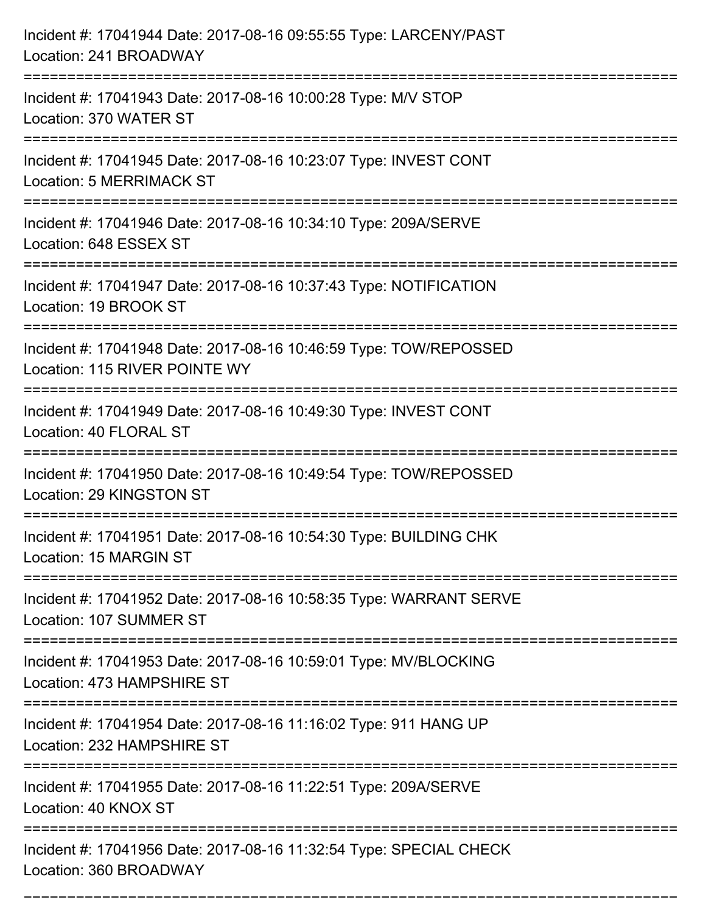| Incident #: 17041944 Date: 2017-08-16 09:55:55 Type: LARCENY/PAST<br>Location: 241 BROADWAY                                       |
|-----------------------------------------------------------------------------------------------------------------------------------|
| ======================================<br>Incident #: 17041943 Date: 2017-08-16 10:00:28 Type: M/V STOP<br>Location: 370 WATER ST |
| Incident #: 17041945 Date: 2017-08-16 10:23:07 Type: INVEST CONT<br><b>Location: 5 MERRIMACK ST</b><br>:========================= |
| Incident #: 17041946 Date: 2017-08-16 10:34:10 Type: 209A/SERVE<br>Location: 648 ESSEX ST                                         |
| Incident #: 17041947 Date: 2017-08-16 10:37:43 Type: NOTIFICATION<br>Location: 19 BROOK ST                                        |
| Incident #: 17041948 Date: 2017-08-16 10:46:59 Type: TOW/REPOSSED<br>Location: 115 RIVER POINTE WY                                |
| Incident #: 17041949 Date: 2017-08-16 10:49:30 Type: INVEST CONT<br>Location: 40 FLORAL ST                                        |
| Incident #: 17041950 Date: 2017-08-16 10:49:54 Type: TOW/REPOSSED<br>Location: 29 KINGSTON ST                                     |
| Incident #: 17041951 Date: 2017-08-16 10:54:30 Type: BUILDING CHK<br>Location: 15 MARGIN ST                                       |
| Incident #: 17041952 Date: 2017-08-16 10:58:35 Type: WARRANT SERVE<br>Location: 107 SUMMER ST                                     |
| Incident #: 17041953 Date: 2017-08-16 10:59:01 Type: MV/BLOCKING<br>Location: 473 HAMPSHIRE ST                                    |
| Incident #: 17041954 Date: 2017-08-16 11:16:02 Type: 911 HANG UP<br>Location: 232 HAMPSHIRE ST                                    |
| Incident #: 17041955 Date: 2017-08-16 11:22:51 Type: 209A/SERVE<br>Location: 40 KNOX ST                                           |
| Incident #: 17041956 Date: 2017-08-16 11:32:54 Type: SPECIAL CHECK<br>Location: 360 BROADWAY                                      |

===========================================================================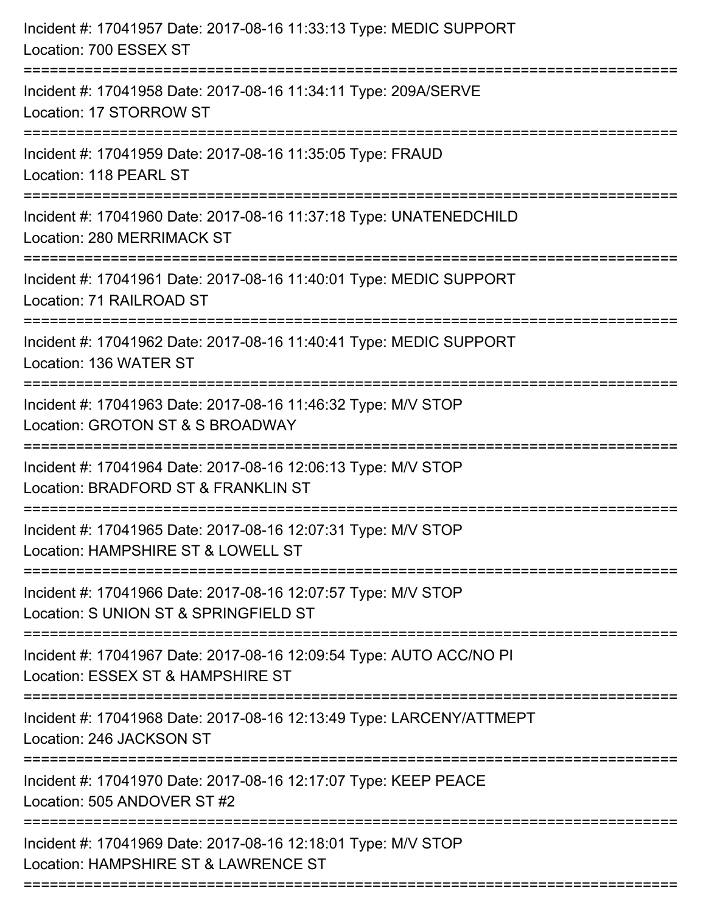| Incident #: 17041957 Date: 2017-08-16 11:33:13 Type: MEDIC SUPPORT<br>Location: 700 ESSEX ST                                        |
|-------------------------------------------------------------------------------------------------------------------------------------|
| Incident #: 17041958 Date: 2017-08-16 11:34:11 Type: 209A/SERVE<br>Location: 17 STORROW ST                                          |
| Incident #: 17041959 Date: 2017-08-16 11:35:05 Type: FRAUD<br>Location: 118 PEARL ST                                                |
| Incident #: 17041960 Date: 2017-08-16 11:37:18 Type: UNATENEDCHILD<br>Location: 280 MERRIMACK ST                                    |
| Incident #: 17041961 Date: 2017-08-16 11:40:01 Type: MEDIC SUPPORT<br>Location: 71 RAILROAD ST<br>================================= |
| Incident #: 17041962 Date: 2017-08-16 11:40:41 Type: MEDIC SUPPORT<br>Location: 136 WATER ST                                        |
| Incident #: 17041963 Date: 2017-08-16 11:46:32 Type: M/V STOP<br>Location: GROTON ST & S BROADWAY<br>==================             |
| Incident #: 17041964 Date: 2017-08-16 12:06:13 Type: M/V STOP<br>Location: BRADFORD ST & FRANKLIN ST                                |
| Incident #: 17041965 Date: 2017-08-16 12:07:31 Type: M/V STOP<br>Location: HAMPSHIRE ST & LOWELL ST                                 |
| Incident #: 17041966 Date: 2017-08-16 12:07:57 Type: M/V STOP<br>Location: S UNION ST & SPRINGFIELD ST                              |
| Incident #: 17041967 Date: 2017-08-16 12:09:54 Type: AUTO ACC/NO PI<br>Location: ESSEX ST & HAMPSHIRE ST                            |
| Incident #: 17041968 Date: 2017-08-16 12:13:49 Type: LARCENY/ATTMEPT<br>Location: 246 JACKSON ST                                    |
| Incident #: 17041970 Date: 2017-08-16 12:17:07 Type: KEEP PEACE<br>Location: 505 ANDOVER ST #2                                      |
| Incident #: 17041969 Date: 2017-08-16 12:18:01 Type: M/V STOP<br>Location: HAMPSHIRE ST & LAWRENCE ST                               |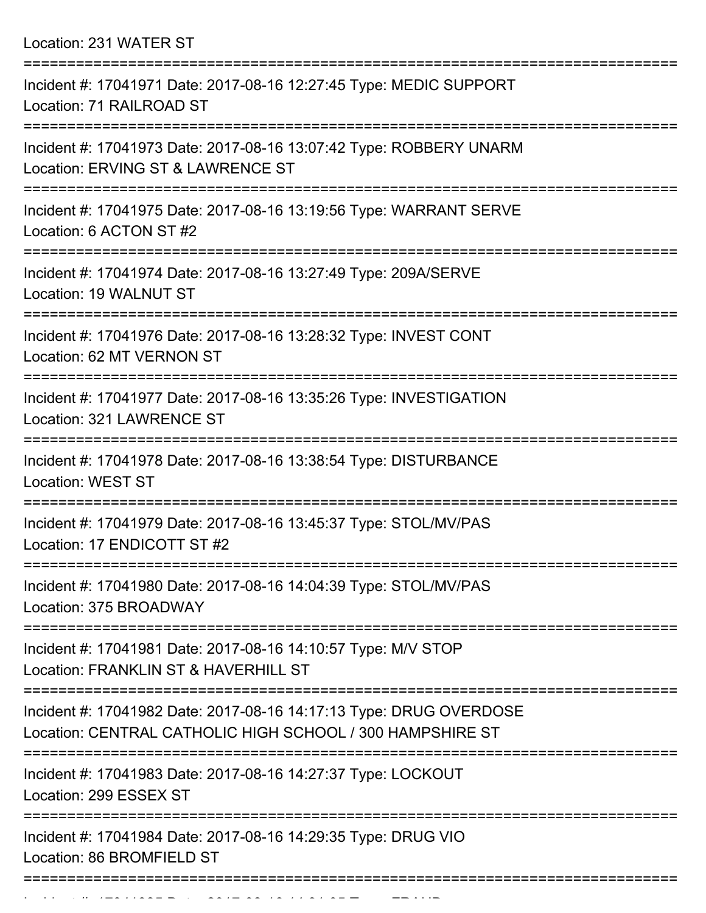Location: 231 WATER ST

| Incident #: 17041971 Date: 2017-08-16 12:27:45 Type: MEDIC SUPPORT<br>Location: 71 RAILROAD ST                                        |
|---------------------------------------------------------------------------------------------------------------------------------------|
| Incident #: 17041973 Date: 2017-08-16 13:07:42 Type: ROBBERY UNARM<br>Location: ERVING ST & LAWRENCE ST                               |
| Incident #: 17041975 Date: 2017-08-16 13:19:56 Type: WARRANT SERVE<br>Location: 6 ACTON ST #2                                         |
| Incident #: 17041974 Date: 2017-08-16 13:27:49 Type: 209A/SERVE<br>Location: 19 WALNUT ST                                             |
| Incident #: 17041976 Date: 2017-08-16 13:28:32 Type: INVEST CONT<br>Location: 62 MT VERNON ST<br>==================================== |
| Incident #: 17041977 Date: 2017-08-16 13:35:26 Type: INVESTIGATION<br>Location: 321 LAWRENCE ST                                       |
| Incident #: 17041978 Date: 2017-08-16 13:38:54 Type: DISTURBANCE<br><b>Location: WEST ST</b>                                          |
| Incident #: 17041979 Date: 2017-08-16 13:45:37 Type: STOL/MV/PAS<br>Location: 17 ENDICOTT ST #2                                       |
| Incident #: 17041980 Date: 2017-08-16 14:04:39 Type: STOL/MV/PAS<br>Location: 375 BROADWAY                                            |
| ====================<br>Incident #: 17041981 Date: 2017-08-16 14:10:57 Type: M/V STOP<br>Location: FRANKLIN ST & HAVERHILL ST         |
| Incident #: 17041982 Date: 2017-08-16 14:17:13 Type: DRUG OVERDOSE<br>Location: CENTRAL CATHOLIC HIGH SCHOOL / 300 HAMPSHIRE ST       |
| Incident #: 17041983 Date: 2017-08-16 14:27:37 Type: LOCKOUT<br>Location: 299 ESSEX ST                                                |
| Incident #: 17041984 Date: 2017-08-16 14:29:35 Type: DRUG VIO<br>Location: 86 BROMFIELD ST                                            |
|                                                                                                                                       |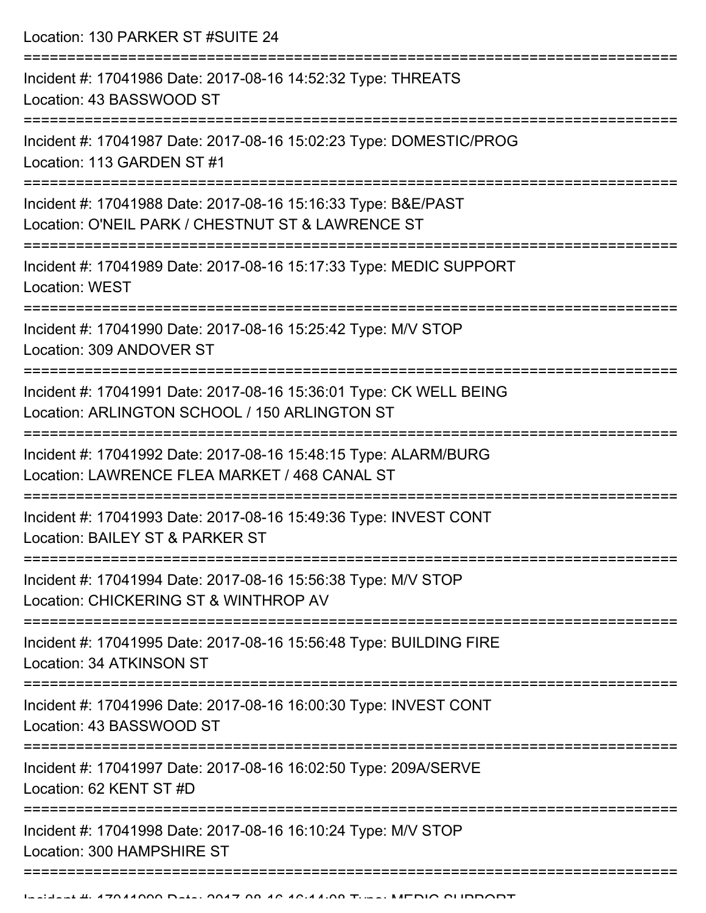Location: 130 PARKER ST #SUITE 24

| Incident #: 17041986 Date: 2017-08-16 14:52:32 Type: THREATS<br>Location: 43 BASSWOOD ST                                 |
|--------------------------------------------------------------------------------------------------------------------------|
| Incident #: 17041987 Date: 2017-08-16 15:02:23 Type: DOMESTIC/PROG<br>Location: 113 GARDEN ST #1                         |
| Incident #: 17041988 Date: 2017-08-16 15:16:33 Type: B&E/PAST<br>Location: O'NEIL PARK / CHESTNUT ST & LAWRENCE ST       |
| Incident #: 17041989 Date: 2017-08-16 15:17:33 Type: MEDIC SUPPORT<br><b>Location: WEST</b><br>========================= |
| Incident #: 17041990 Date: 2017-08-16 15:25:42 Type: M/V STOP<br>Location: 309 ANDOVER ST                                |
| Incident #: 17041991 Date: 2017-08-16 15:36:01 Type: CK WELL BEING<br>Location: ARLINGTON SCHOOL / 150 ARLINGTON ST      |
| Incident #: 17041992 Date: 2017-08-16 15:48:15 Type: ALARM/BURG<br>Location: LAWRENCE FLEA MARKET / 468 CANAL ST         |
| Incident #: 17041993 Date: 2017-08-16 15:49:36 Type: INVEST CONT<br>Location: BAILEY ST & PARKER ST                      |
| Incident #: 17041994 Date: 2017-08-16 15:56:38 Type: M/V STOP<br>Location: CHICKERING ST & WINTHROP AV                   |
| Incident #: 17041995 Date: 2017-08-16 15:56:48 Type: BUILDING FIRE<br>Location: 34 ATKINSON ST                           |
| Incident #: 17041996 Date: 2017-08-16 16:00:30 Type: INVEST CONT<br>Location: 43 BASSWOOD ST                             |
| Incident #: 17041997 Date: 2017-08-16 16:02:50 Type: 209A/SERVE<br>Location: 62 KENT ST #D                               |
| Incident #: 17041998 Date: 2017-08-16 16:10:24 Type: M/V STOP<br>Location: 300 HAMPSHIRE ST                              |
|                                                                                                                          |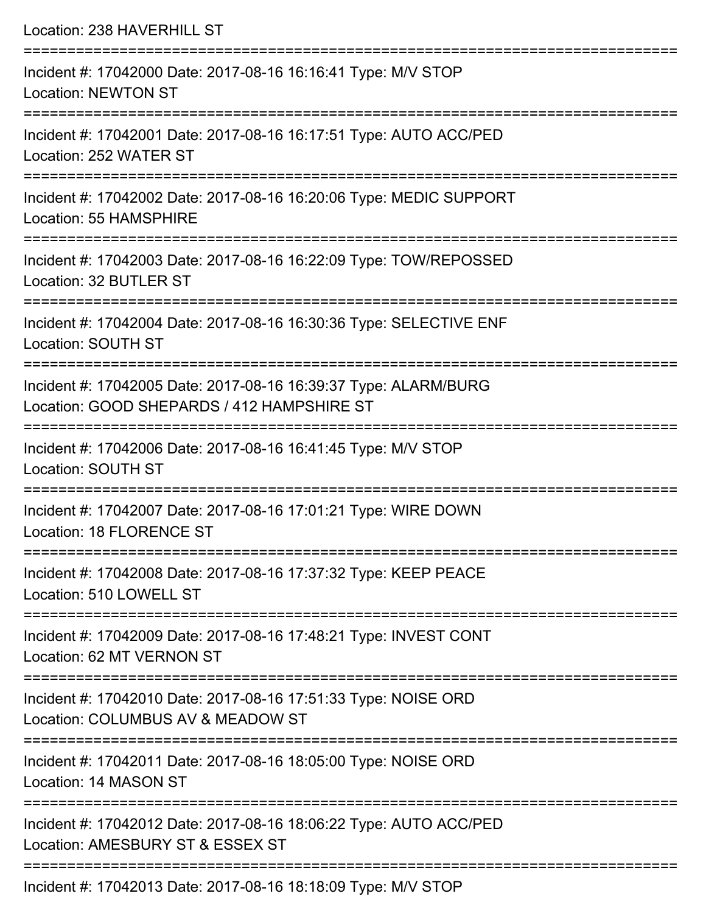| Location: 238 HAVERHILL ST                                                                                    |
|---------------------------------------------------------------------------------------------------------------|
| Incident #: 17042000 Date: 2017-08-16 16:16:41 Type: M/V STOP<br><b>Location: NEWTON ST</b>                   |
| Incident #: 17042001 Date: 2017-08-16 16:17:51 Type: AUTO ACC/PED<br>Location: 252 WATER ST                   |
| Incident #: 17042002 Date: 2017-08-16 16:20:06 Type: MEDIC SUPPORT<br>Location: 55 HAMSPHIRE                  |
| Incident #: 17042003 Date: 2017-08-16 16:22:09 Type: TOW/REPOSSED<br>Location: 32 BUTLER ST                   |
| Incident #: 17042004 Date: 2017-08-16 16:30:36 Type: SELECTIVE ENF<br>Location: SOUTH ST                      |
| Incident #: 17042005 Date: 2017-08-16 16:39:37 Type: ALARM/BURG<br>Location: GOOD SHEPARDS / 412 HAMPSHIRE ST |
| Incident #: 17042006 Date: 2017-08-16 16:41:45 Type: M/V STOP<br>Location: SOUTH ST                           |
| Incident #: 17042007 Date: 2017-08-16 17:01:21 Type: WIRE DOWN<br>Location: 18 FLORENCE ST                    |
| Incident #: 17042008 Date: 2017-08-16 17:37:32 Type: KEEP PEACE<br>Location: 510 LOWELL ST                    |
| Incident #: 17042009 Date: 2017-08-16 17:48:21 Type: INVEST CONT<br>Location: 62 MT VERNON ST                 |
| Incident #: 17042010 Date: 2017-08-16 17:51:33 Type: NOISE ORD<br>Location: COLUMBUS AV & MEADOW ST           |
| Incident #: 17042011 Date: 2017-08-16 18:05:00 Type: NOISE ORD<br>Location: 14 MASON ST                       |
| Incident #: 17042012 Date: 2017-08-16 18:06:22 Type: AUTO ACC/PED<br>Location: AMESBURY ST & ESSEX ST         |
|                                                                                                               |

Incident #: 17042013 Date: 2017-08-16 18:18:09 Type: M/V STOP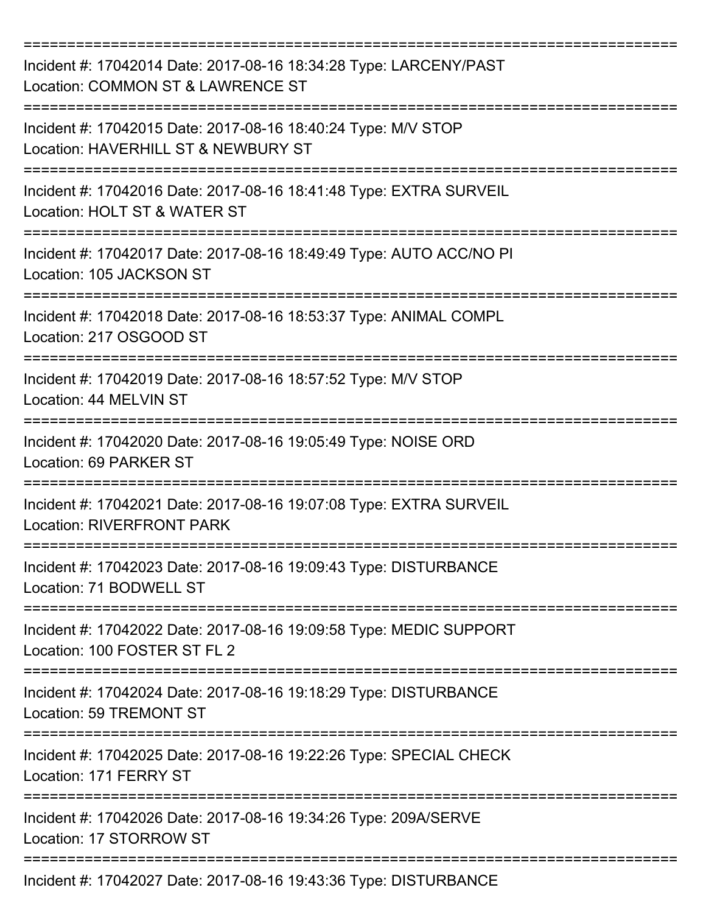| Incident #: 17042014 Date: 2017-08-16 18:34:28 Type: LARCENY/PAST<br>Location: COMMON ST & LAWRENCE ST |
|--------------------------------------------------------------------------------------------------------|
| Incident #: 17042015 Date: 2017-08-16 18:40:24 Type: M/V STOP<br>Location: HAVERHILL ST & NEWBURY ST   |
| Incident #: 17042016 Date: 2017-08-16 18:41:48 Type: EXTRA SURVEIL<br>Location: HOLT ST & WATER ST     |
| Incident #: 17042017 Date: 2017-08-16 18:49:49 Type: AUTO ACC/NO PI<br>Location: 105 JACKSON ST        |
| Incident #: 17042018 Date: 2017-08-16 18:53:37 Type: ANIMAL COMPL<br>Location: 217 OSGOOD ST           |
| Incident #: 17042019 Date: 2017-08-16 18:57:52 Type: M/V STOP<br>Location: 44 MELVIN ST                |
| Incident #: 17042020 Date: 2017-08-16 19:05:49 Type: NOISE ORD<br>Location: 69 PARKER ST               |
| Incident #: 17042021 Date: 2017-08-16 19:07:08 Type: EXTRA SURVEIL<br><b>Location: RIVERFRONT PARK</b> |
| Incident #: 17042023 Date: 2017-08-16 19:09:43 Type: DISTURBANCE<br>Location: 71 BODWELL ST            |
| Incident #: 17042022 Date: 2017-08-16 19:09:58 Type: MEDIC SUPPORT<br>Location: 100 FOSTER ST FL 2     |
| Incident #: 17042024 Date: 2017-08-16 19:18:29 Type: DISTURBANCE<br>Location: 59 TREMONT ST            |
| Incident #: 17042025 Date: 2017-08-16 19:22:26 Type: SPECIAL CHECK<br>Location: 171 FERRY ST           |
| Incident #: 17042026 Date: 2017-08-16 19:34:26 Type: 209A/SERVE<br>Location: 17 STORROW ST             |
| Incident #: 17042027 Date: 2017-08-16 19:43:36 Type: DISTURBANCE                                       |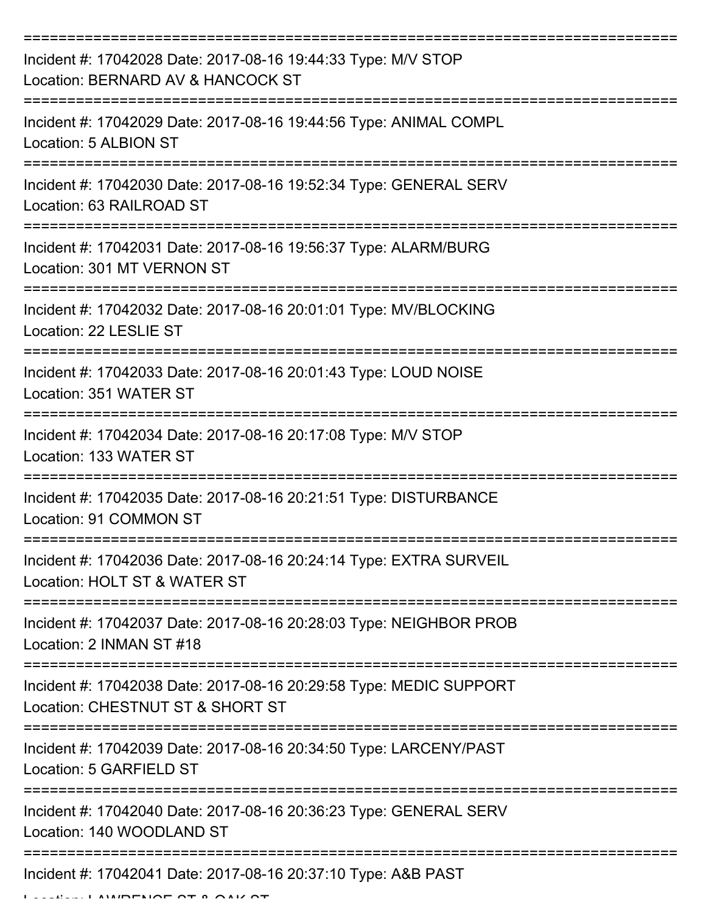| Incident #: 17042028 Date: 2017-08-16 19:44:33 Type: M/V STOP<br>Location: BERNARD AV & HANCOCK ST     |
|--------------------------------------------------------------------------------------------------------|
| Incident #: 17042029 Date: 2017-08-16 19:44:56 Type: ANIMAL COMPL<br>Location: 5 ALBION ST             |
| Incident #: 17042030 Date: 2017-08-16 19:52:34 Type: GENERAL SERV<br>Location: 63 RAILROAD ST          |
| Incident #: 17042031 Date: 2017-08-16 19:56:37 Type: ALARM/BURG<br>Location: 301 MT VERNON ST          |
| Incident #: 17042032 Date: 2017-08-16 20:01:01 Type: MV/BLOCKING<br>Location: 22 LESLIE ST             |
| Incident #: 17042033 Date: 2017-08-16 20:01:43 Type: LOUD NOISE<br>Location: 351 WATER ST              |
| Incident #: 17042034 Date: 2017-08-16 20:17:08 Type: M/V STOP<br>Location: 133 WATER ST                |
| Incident #: 17042035 Date: 2017-08-16 20:21:51 Type: DISTURBANCE<br>Location: 91 COMMON ST             |
| Incident #: 17042036 Date: 2017-08-16 20:24:14 Type: EXTRA SURVEIL<br>Location: HOLT ST & WATER ST     |
| Incident #: 17042037 Date: 2017-08-16 20:28:03 Type: NEIGHBOR PROB<br>Location: 2 INMAN ST #18         |
| Incident #: 17042038 Date: 2017-08-16 20:29:58 Type: MEDIC SUPPORT<br>Location: CHESTNUT ST & SHORT ST |
| Incident #: 17042039 Date: 2017-08-16 20:34:50 Type: LARCENY/PAST<br>Location: 5 GARFIELD ST           |
| Incident #: 17042040 Date: 2017-08-16 20:36:23 Type: GENERAL SERV<br>Location: 140 WOODLAND ST         |
| Incident #: 17042041 Date: 2017-08-16 20:37:10 Type: A&B PAST                                          |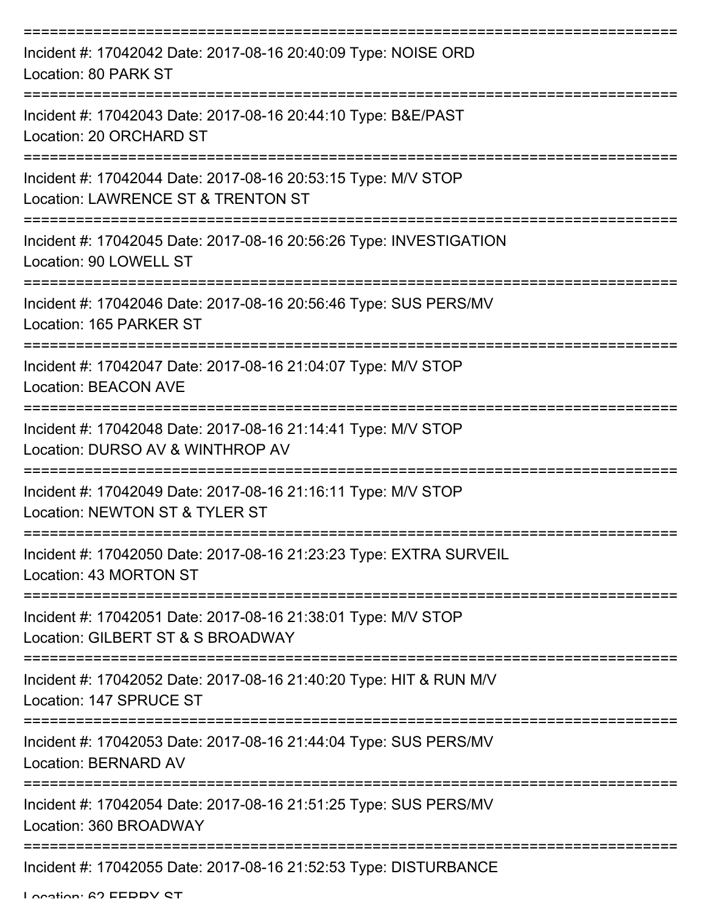| Incident #: 17042042 Date: 2017-08-16 20:40:09 Type: NOISE ORD<br>Location: 80 PARK ST                                          |
|---------------------------------------------------------------------------------------------------------------------------------|
| Incident #: 17042043 Date: 2017-08-16 20:44:10 Type: B&E/PAST<br>Location: 20 ORCHARD ST                                        |
| ========================<br>Incident #: 17042044 Date: 2017-08-16 20:53:15 Type: M/V STOP<br>Location: LAWRENCE ST & TRENTON ST |
| Incident #: 17042045 Date: 2017-08-16 20:56:26 Type: INVESTIGATION<br>Location: 90 LOWELL ST                                    |
| Incident #: 17042046 Date: 2017-08-16 20:56:46 Type: SUS PERS/MV<br>Location: 165 PARKER ST                                     |
| Incident #: 17042047 Date: 2017-08-16 21:04:07 Type: M/V STOP<br><b>Location: BEACON AVE</b>                                    |
| Incident #: 17042048 Date: 2017-08-16 21:14:41 Type: M/V STOP<br>Location: DURSO AV & WINTHROP AV                               |
| Incident #: 17042049 Date: 2017-08-16 21:16:11 Type: M/V STOP<br>Location: NEWTON ST & TYLER ST                                 |
| Incident #: 17042050 Date: 2017-08-16 21:23:23 Type: EXTRA SURVEIL<br>Location: 43 MORTON ST                                    |
| Incident #: 17042051 Date: 2017-08-16 21:38:01 Type: M/V STOP<br>Location: GILBERT ST & S BROADWAY                              |
| Incident #: 17042052 Date: 2017-08-16 21:40:20 Type: HIT & RUN M/V<br>Location: 147 SPRUCE ST                                   |
| Incident #: 17042053 Date: 2017-08-16 21:44:04 Type: SUS PERS/MV<br>Location: BERNARD AV                                        |
| Incident #: 17042054 Date: 2017-08-16 21:51:25 Type: SUS PERS/MV<br>Location: 360 BROADWAY                                      |
| Incident #: 17042055 Date: 2017-08-16 21:52:53 Type: DISTURBANCE                                                                |